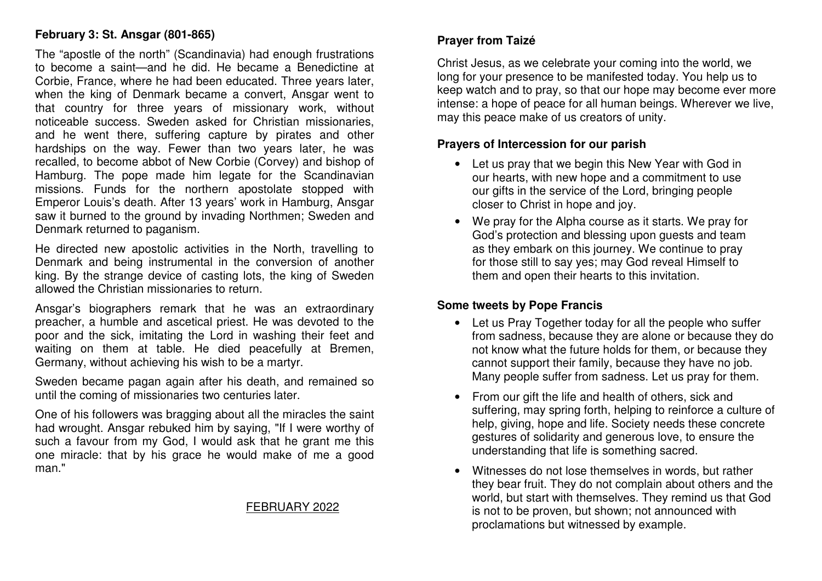# **February 3: St. Ansgar (801-865)**

The "apostle of the north" (Scandinavia) had enough frustrations to become a saint—and he did. He became a Benedictine at Corbie, France, where he had been educated. Three years later, when the king of Denmark became a convert, Ansgar went to that country for three years of missionary work, without noticeable success. Sweden asked for Christian missionaries, and he went there, suffering capture by pirates and other hardships on the way. Fewer than two years later, he was recalled, to become abbot of New Corbie (Corvey) and bishop of Hamburg. The pope made him legate for the Scandinavian missions. Funds for the northern apostolate stopped with Emperor Louis's death. After 13 years' work in Hamburg, Ansgar saw it burned to the ground by invading Northmen; Sweden and Denmark returned to paganism.

He directed new apostolic activities in the North, travelling to Denmark and being instrumental in the conversion of another king. By the strange device of casting lots, the king of Sweden allowed the Christian missionaries to return.

Ansgar's biographers remark that he was an extraordinary preacher, a humble and ascetical priest. He was devoted to the poor and the sick, imitating the Lord in washing their feet and waiting on them at table. He died peacefully at Bremen, Germany, without achieving his wish to be a martyr.

Sweden became pagan again after his death, and remained so until the coming of missionaries two centuries later.

One of his followers was bragging about all the miracles the saint had wrought. Ansgar rebuked him by saying, "If I were worthy of such a favour from my God, I would ask that he grant me this one miracle: that by his grace he would make of me a good man."

## FEBRUARY 2022

# **Prayer from Taizé**

Christ Jesus, as we celebrate your coming into the world, we long for your presence to be manifested today. You help us to keep watch and to pray, so that our hope may become ever more intense: a hope of peace for all human beings. Wherever we live, may this peace make of us creators of unity.

## **Prayers of Intercession for our parish**

- Let us pray that we begin this New Year with God in our hearts, with new hope and a commitment to use our gifts in the service of the Lord, bringing people closer to Christ in hope and joy.
- We pray for the Alpha course as it starts. We pray for God's protection and blessing upon guests and team as they embark on this journey. We continue to pray for those still to say yes; may God reveal Himself to them and open their hearts to this invitation.

## **Some tweets by Pope Francis**

- Let us Pray Together today for all the people who suffer from sadness, because they are alone or because they do not know what the future holds for them, or because they cannot support their family, because they have no job. Many people suffer from sadness. Let us pray for them.
- From our gift the life and health of others, sick and suffering, may spring forth, helping to reinforce a culture of help, giving, hope and life. Society needs these concrete gestures of solidarity and generous love, to ensure the understanding that life is something sacred.
- Witnesses do not lose themselves in words, but rather they bear fruit. They do not complain about others and the world, but start with themselves. They remind us that God is not to be proven, but shown; not announced with proclamations but witnessed by example.